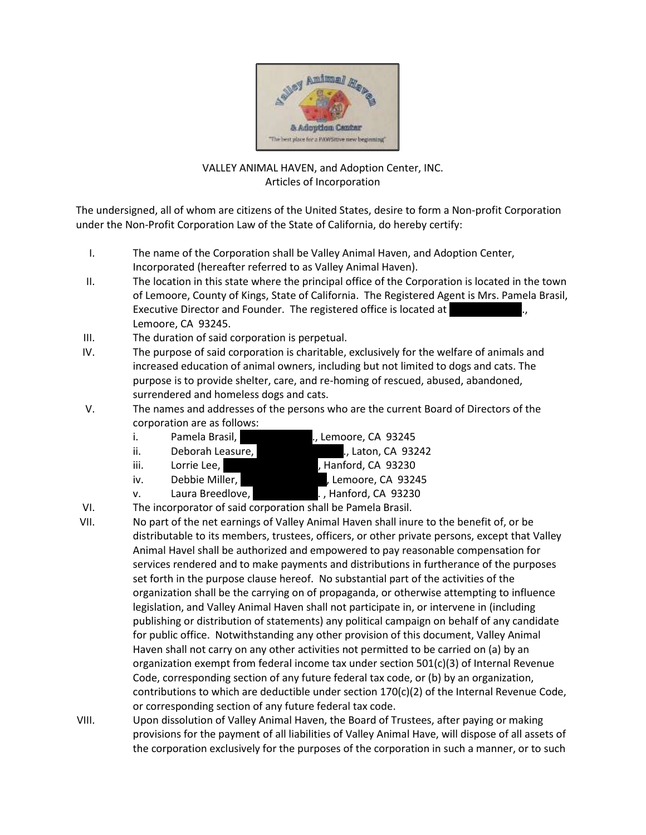

## VALLEY ANIMAL HAVEN, and Adoption Center, INC. Articles of Incorporation

The undersigned, all of whom are citizens of the United States, desire to form a Non-profit Corporation under the Non-Profit Corporation Law of the State of California, do hereby certify:

- I. The name of the Corporation shall be Valley Animal Haven, and Adoption Center, Incorporated (hereafter referred to as Valley Animal Haven).
- II. The location in this state where the principal office of the Corporation is located in the town of Lemoore, County of Kings, State of California. The Registered Agent is Mrs. Pamela Brasil, Executive Director and Founder. The registered office is located at Lemoore, CA 93245.
- III. The duration of said corporation is perpetual.
- IV. The purpose of said corporation is charitable, exclusively for the welfare of animals and increased education of animal owners, including but not limited to dogs and cats. The purpose is to provide shelter, care, and re-homing of rescued, abused, abandoned, surrendered and homeless dogs and cats.
- V. The names and addresses of the persons who are the current Board of Directors of the corporation are as follows:
	- i. Pamela Brasil, 1846 Java Ave., Lemoore, CA 93245
	- ii. Deborah Leasure, 1700 Evenett Ave., Laton, CA 93242
	- iii. Lorrie Lee, 1959 Mulberry Lane, Hanford, CA 93230
	-
	- v. Laura Breedlove, **12th Ave. 12th Ave. 12th Ave. 12th Ave.** , Hanford, CA 93230

iv. Debbie Miller, 455 E. A. Spring Lemoore, CA 93245

- VI. The incorporator of said corporation shall be Pamela Brasil.
- VII. No part of the net earnings of Valley Animal Haven shall inure to the benefit of, or be distributable to its members, trustees, officers, or other private persons, except that Valley Animal Havel shall be authorized and empowered to pay reasonable compensation for services rendered and to make payments and distributions in furtherance of the purposes set forth in the purpose clause hereof. No substantial part of the activities of the organization shall be the carrying on of propaganda, or otherwise attempting to influence legislation, and Valley Animal Haven shall not participate in, or intervene in (including publishing or distribution of statements) any political campaign on behalf of any candidate for public office. Notwithstanding any other provision of this document, Valley Animal Haven shall not carry on any other activities not permitted to be carried on (a) by an organization exempt from federal income tax under section 501(c)(3) of Internal Revenue Code, corresponding section of any future federal tax code, or (b) by an organization, contributions to which are deductible under section 170(c)(2) of the Internal Revenue Code, or corresponding section of any future federal tax code.
- VIII. Upon dissolution of Valley Animal Haven, the Board of Trustees, after paying or making provisions for the payment of all liabilities of Valley Animal Have, will dispose of all assets of the corporation exclusively for the purposes of the corporation in such a manner, or to such